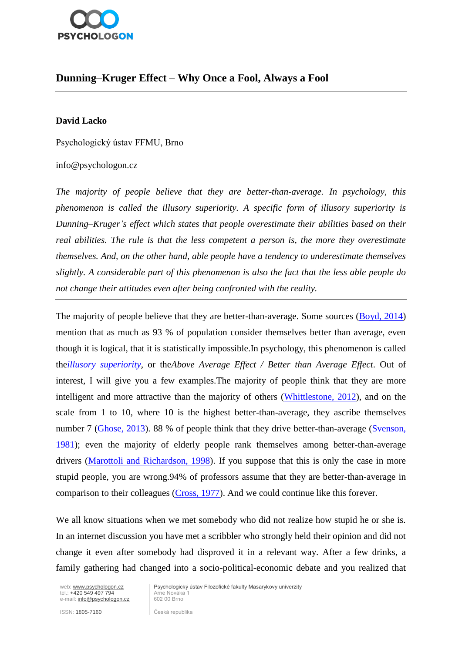

# **Dunning–Kruger Effect – Why Once a Fool, Always a Fool**

#### **David Lacko**

Psychologický ústav FFMU, Brno

#### info@psychologon.cz

*The majority of people believe that they are better-than-average. In psychology, this phenomenon is called the illusory superiority. A specific form of illusory superiority is Dunning–Kruger's effect which states that people overestimate their abilities based on their real abilities. The rule is that the less competent a person is, the more they overestimate themselves. And, on the other hand, able people have a tendency to underestimate themselves slightly. A considerable part of this phenomenon is also the fact that the less able people do not change their attitudes even after being confronted with the reality.*

The majority of people believe that they are better-than-average. Some sources [\(Boyd, 2014\)](http://research.gigaom.com/2014/08/93-of-us-think-we-are-above-average/) mention that as much as 93 % of population consider themselves better than average, even though it is logical, that it is statistically impossible.In psychology, this phenomenon is called the*[illusory superiority](http://en.wikipedia.org/wiki/Illusory_superiority)*, or the*Above Average Effect / Better than Average Effect*. Out of interest, I will give you a few examples.The majority of people think that they are more intelligent and more attractive than the majority of others [\(Whittlestone, 2012\)](https://80000hours.org/2012/11/do-you-think-you-re-better-than-average/), and on the scale from 1 to 10, where 10 is the highest better-than-average, they ascribe themselves number 7 [\(Ghose, 2013\)](http://www.livescience.com/26914-why-we-are-all-above-average.html). 88 % of people think that they drive better-than-average (Svenson, [1981\)](http://heatherlench.com/wp-content/uploads/2008/07/svenson.pdf); even the majority of elderly people rank themselves among better-than-average drivers [\(Marottoli and Richardson, 1998\)](http://www.sciencedirect.com/science/article/pii/S0001457597001000). If you suppose that this is only the case in more stupid people, you are wrong.94% of professors assume that they are better-than-average in comparison to their colleagues [\(Cross,](http://onlinelibrary.wiley.com/doi/10.1002/he.36919771703/abstract) 1977). And we could continue like this forever.

We all know situations when we met somebody who did not realize how stupid he or she is. In an internet discussion you have met a scribbler who strongly held their opinion and did not change it even after somebody had disproved it in a relevant way. After a few drinks, a family gathering had changed into a socio-political-economic debate and you realized that

tel.: +420 549 497 794 Arne Nováka 1<br>e-mail: info@psychologon.cz 602 00 Brno e-mail: info@psychologon.cz

web: www.psychologon.cz <br>Psychologický ústav Filozofické fakulty Masarykovy univerzity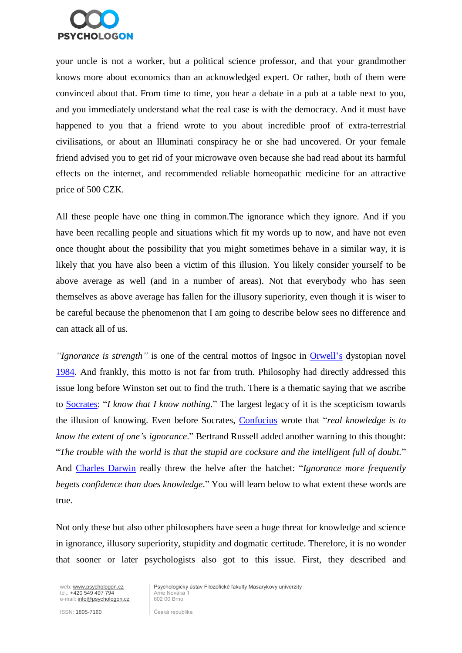

your uncle is not a worker, but a political science professor, and that your grandmother knows more about economics than an acknowledged expert. Or rather, both of them were convinced about that. From time to time, you hear a debate in a pub at a table next to you, and you immediately understand what the real case is with the democracy. And it must have happened to you that a friend wrote to you about incredible proof of extra-terrestrial civilisations, or about an Illuminati conspiracy he or she had uncovered. Or your female friend advised you to get rid of your microwave oven because she had read about its harmful effects on the internet, and recommended reliable homeopathic medicine for an attractive price of 500 CZK.

All these people have one thing in common.The ignorance which they ignore. And if you have been recalling people and situations which fit my words up to now, and have not even once thought about the possibility that you might sometimes behave in a similar way, it is likely that you have also been a victim of this illusion. You likely consider yourself to be above average as well (and in a number of areas). Not that everybody who has seen themselves as above average has fallen for the illusory superiority, even though it is wiser to be careful because the phenomenon that I am going to describe below sees no difference and can attack all of us.

*"Ignorance is strength"* is one of the central mottos of Ingsoc in [Orwell's](http://cs.wikipedia.org/wiki/George_Orwell) dystopian novel [1984.](http://cs.wikipedia.org/wiki/1984_(rom%C3%A1n)) And frankly, this motto is not far from truth. Philosophy had directly addressed this issue long before Winston set out to find the truth. There is a thematic saying that we ascribe to [Socrates:](http://cs.wikipedia.org/wiki/S%C3%B3krat%C3%A9s) "*I know that I know nothing*." The largest legacy of it is the scepticism towards the illusion of knowing. Even before Socrates, [Confucius](http://cs.wikipedia.org/wiki/Konfucius) wrote that "*real knowledge is to know the extent of one's ignorance*." Bertrand Russell added another warning to this thought: "*The trouble with the world is that the stupid are cocksure and the intelligent full of doubt.*" And [Charles Darwin](http://cs.wikipedia.org/wiki/Charles_Darwin) really threw the helve after the hatchet: "*Ignorance more frequently begets confidence than does knowledge*." You will learn below to what extent these words are true.

Not only these but also other philosophers have seen a huge threat for knowledge and science in ignorance, illusory superiority, stupidity and dogmatic certitude. Therefore, it is no wonder that sooner or later psychologists also got to this issue. First, they described and

web: www.psychologon.cz<br>
tel.: +420 549 497 794 Arne Nováka 1<br>
e-mail: info@psychologon.cz 602 00 Brno e-mail: info@psychologon.cz

Psychologický ústav Filozofické fakulty Masarykovy univerzity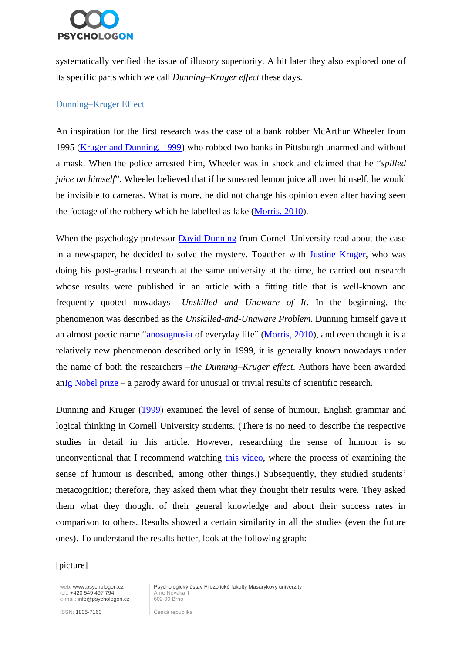

systematically verified the issue of illusory superiority. A bit later they also explored one of its specific parts which we call *Dunning–Kruger effect* these days.

## Dunning–Kruger Effect

An inspiration for the first research was the case of a bank robber McArthur Wheeler from 1995 [\(Kruger and Dunning, 1999\)](http://citeseerx.ist.psu.edu/viewdoc/download?doi=10.1.1.64.2655&rep=rep1&type=pdf) who robbed two banks in Pittsburgh unarmed and without a mask. When the police arrested him, Wheeler was in shock and claimed that he "*spilled juice on himself*". Wheeler believed that if he smeared lemon juice all over himself, he would be invisible to cameras. What is more, he did not change his opinion even after having seen the footage of the robbery which he labelled as fake [\(Morris, 2010\)](http://opinionator.blogs.nytimes.com/2010/06/20/the-anosognosics-dilemma-1/).

When the psychology professor [David Dunning](http://cornellpsych.org/sasi/people.php?person_id=1) from Cornell University read about the case in a newspaper, he decided to solve the mystery. Together with [Justine Kruger,](http://cornellpsych.org/sasi/people.php?person_id=15) who was doing his post-gradual research at the same university at the time, he carried out research whose results were published in an article with a fitting title that is well-known and frequently quoted nowadays –*Unskilled and Unaware of It*. In the beginning, the phenomenon was described as the *Unskilled-and-Unaware Problem*. Dunning himself gave it an almost poetic name ["anosognosia](http://slovnik-cizich-slov.abz.cz/web.php/slovo/anozognozie) of everyday life" [\(Morris, 2010\)](http://opinionator.blogs.nytimes.com/2010/06/20/the-anosognosics-dilemma-1/), and even though it is a relatively new phenomenon described only in 1999, it is generally known nowadays under the name of both the researchers –*the Dunning–Kruger effect*. Authors have been awarded a[nIg Nobel prize](http://www.improbable.com/ig/ig-pastwinners.html#ig2000) – a parody award for unusual or trivial results of scientific research.

Dunning and Kruger [\(1999\)](http://citeseerx.ist.psu.edu/viewdoc/download?doi=10.1.1.64.2655&rep=rep1&type=pdf) examined the level of sense of humour, English grammar and logical thinking in Cornell University students. (There is no need to describe the respective studies in detail in this article. However, researching the sense of humour is so unconventional that I recommend watching [this video,](https://www.youtube.com/watch?v=kT-H09rcZCo) where the process of examining the sense of humour is described, among other things.) Subsequently, they studied students' metacognition; therefore, they asked them what they thought their results were. They asked them what they thought of their general knowledge and about their success rates in comparison to others. Results showed a certain similarity in all the studies (even the future ones). To understand the results better, look at the following graph:

#### [picture]

web: www.psychologon.cz<br>
tel.: +420 549 497 794 Arne Nováka 1<br>
e-mail: info@psychologon.cz<br>
602 00 Brno e-mail: info@psychologon.cz

Psychologický ústav Filozofické fakulty Masarykovy univerzity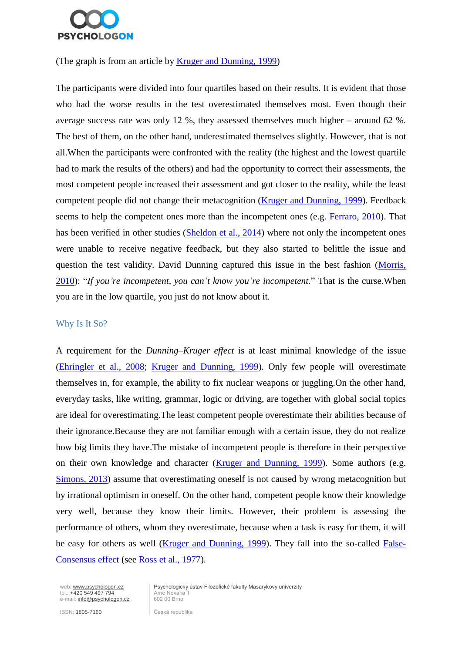

#### (The graph is from an article by [Kruger and Dunning, 1999\)](http://citeseerx.ist.psu.edu/viewdoc/download?doi=10.1.1.64.2655&rep=rep1&type=pdf)

The participants were divided into four quartiles based on their results. It is evident that those who had the worse results in the test overestimated themselves most. Even though their average success rate was only 12 %, they assessed themselves much higher – around 62 %. The best of them, on the other hand, underestimated themselves slightly. However, that is not all.When the participants were confronted with the reality (the highest and the lowest quartile had to mark the results of the others) and had the opportunity to correct their assessments, the most competent people increased their assessment and got closer to the reality, while the least competent people did not change their metacognition [\(Kruger and Dunning, 1999\)](http://citeseerx.ist.psu.edu/viewdoc/download?doi=10.1.1.64.2655&rep=rep1&type=pdf). Feedback seems to help the competent ones more than the incompetent ones (e.g. [Ferraro, 2010\)](http://link.springer.com/article/10.1007/s11293-010-9226-2). That has been verified in other studies [\(Sheldon et al., 2014\)](http://www.columbia.edu/~da358/publications/Emotionally_unskilled.pdf) where not only the incompetent ones were unable to receive negative feedback, but they also started to belittle the issue and question the test validity. David Dunning captured this issue in the best fashion [\(Morris,](http://opinionator.blogs.nytimes.com/2010/06/20/the-anosognosics-dilemma-1/?_r=0)  [2010\)](http://opinionator.blogs.nytimes.com/2010/06/20/the-anosognosics-dilemma-1/?_r=0): "*If you're incompetent, you can't know you're incompetent.*" That is the curse.When you are in the low quartile, you just do not know about it.

#### Why Is It So?

A requirement for the *Dunning–Kruger effect* is at least minimal knowledge of the issue [\(Ehringler et al., 2008;](http://www.sciencedirect.com/science/article/pii/S074959780700060X) [Kruger and Dunning, 1999\)](http://citeseerx.ist.psu.edu/viewdoc/download?doi=10.1.1.64.2655&rep=rep1&type=pdf). Only few people will overestimate themselves in, for example, the ability to fix nuclear weapons or juggling.On the other hand, everyday tasks, like writing, grammar, logic or driving, are together with global social topics are ideal for overestimating.The least competent people overestimate their abilities because of their ignorance.Because they are not familiar enough with a certain issue, they do not realize how big limits they have.The mistake of incompetent people is therefore in their perspective on their own knowledge and character [\(Kruger and Dunning, 1999\)](http://citeseerx.ist.psu.edu/viewdoc/download?doi=10.1.1.64.2655&rep=rep1&type=pdf). Some authors (e.g. [Simons, 2013\)](http://download.springer.com/static/pdf/951/art%3A10.3758/s13423-013-0379-2.pdf?auth66=1422876667_f3b6fadb57deb7a37ac1ded94beec16c&ext=.pdf) assume that overestimating oneself is not caused by wrong metacognition but by irrational optimism in oneself. On the other hand, competent people know their knowledge very well, because they know their limits. However, their problem is assessing the performance of others, whom they overestimate, because when a task is easy for them, it will be easy for others as well [\(Kruger and Dunning, 1999\)](http://citeseerx.ist.psu.edu/viewdoc/download?doi=10.1.1.64.2655&rep=rep1&type=pdf). They fall into the so-called [False-](http://en.wikipedia.org/wiki/False-consensus_effect)[Consensus effect](http://en.wikipedia.org/wiki/False-consensus_effect) (see [Ross et al., 1977\)](http://web.mit.edu/curhan/www/docs/Articles/biases/13_J_Experimental_Social_Psychology_279_(Ross).pdf).

tel.: +420 549 497 794 Arne Nováka 1<br>e-mail: info@psychologon.cz 602 00 Brno e-mail: info@psychologon.cz

web: www.psychologon.cz | Psychologický ústav Filozofické fakulty Masarykovy univerzity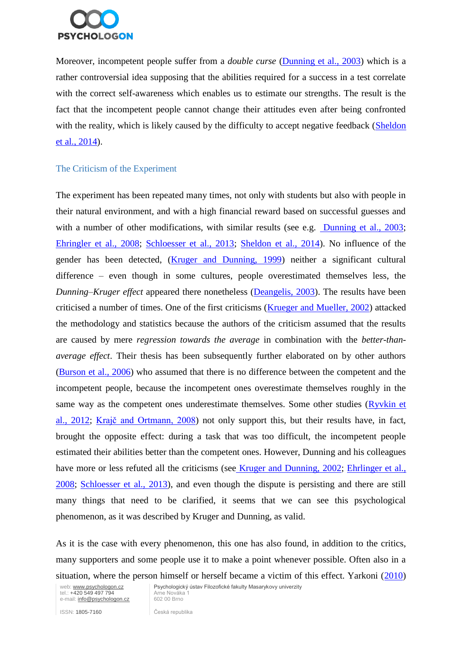

Moreover, incompetent people suffer from a *double curse* [\(Dunning et al., 2003\)](http://cdp.sagepub.com/content/12/3/83.full.pdf) which is a rather controversial idea supposing that the abilities required for a success in a test correlate with the correct self-awareness which enables us to estimate our strengths. The result is the fact that the incompetent people cannot change their attitudes even after being confronted with the reality, which is likely caused by the difficulty to accept negative feedback (Sheldon [et al., 2014\)](http://www.columbia.edu/~da358/publications/Emotionally_unskilled.pdf).

### The Criticism of the Experiment

The experiment has been repeated many times, not only with students but also with people in their natural environment, and with a high financial reward based on successful guesses and with a number of other modifications, with similar results (see e.g. [Dunning et al., 2003;](http://cdp.sagepub.com/content/12/3/83.full.pdf) [Ehringler et al., 2008;](http://www.sciencedirect.com/science/article/pii/S074959780700060X) [Schloesser et al., 2013;](http://www.sciencedirect.com/science/article/pii/S0167487013000949) [Sheldon et al., 2014\)](http://www.columbia.edu/~da358/publications/Emotionally_unskilled.pdf). No influence of the gender has been detected, [\(Kruger and Dunning, 1999\)](http://citeseerx.ist.psu.edu/viewdoc/download?doi=10.1.1.64.2655&rep=rep1&type=pdf) neither a significant cultural difference – even though in some cultures, people overestimated themselves less, the *Dunning–Kruger effect* appeared there nonetheless [\(Deangelis, 2003\)](http://www.apa.org/monitor/feb03/overestimate.aspx). The results have been criticised a number of times. One of the first criticisms [\(Krueger and Mueller, 2002\)](http://psycnet.apa.org/journals/psp/82/2/180/) attacked the methodology and statistics because the authors of the criticism assumed that the results are caused by mere *regression towards the average* in combination with the *better-thanaverage effect*. Their thesis has been subsequently further elaborated on by other authors [\(Burson et al., 2006\)](http://hdl.handle.net/2027.42/39168) who assumed that there is no difference between the competent and the incompetent people, because the incompetent ones overestimate themselves roughly in the same way as the competent ones underestimate themselves. Some other studies [\(Ryvkin et](http://www.sciencedirect.com/science/article/pii/S0167487012000670)  [al., 2012;](http://www.sciencedirect.com/science/article/pii/S0167487012000670) [Krajč and Ortmann, 2008\)](http://www.sciencedirect.com/science/article/pii/S0167487007001109) not only support this, but their results have, in fact, brought the opposite effect: during a task that was too difficult, the incompetent people estimated their abilities better than the competent ones. However, Dunning and his colleagues have more or less refuted all the criticisms (see [Kruger and Dunning, 2002;](http://www.researchgate.net/publication/11530100_Unskilled_and_unaware--but_why_A_reply_to_Krueger_and_Mueller_(2002)) Ehrlinger et al., [2008;](http://www.sciencedirect.com/science/article/pii/S074959780700060X) [Schloesser et al., 2013\)](http://www.sciencedirect.com/science/article/pii/S0167487013000949), and even though the dispute is persisting and there are still many things that need to be clarified, it seems that we can see this psychological phenomenon, as it was described by Kruger and Dunning, as valid.

As it is the case with every phenomenon, this one has also found, in addition to the critics, many supporters and some people use it to make a point whenever possible. Often also in a situation, where the person himself or herself became a victim of this effect. Yarkoni [\(2010\)](http://www.talyarkoni.org/blog/2010/07/07/what-the-dunning-kruger-effect-is-and-isnt/)

tel.: +420 549 497 794 Arne Nováka 1<br>
e-mail: info@psychologon.cz 602 00 Brno e-mail: info@psychologon.cz

web: www.psychologon.cz | Psychologický ústav Filozofické fakulty Masarykovy univerzity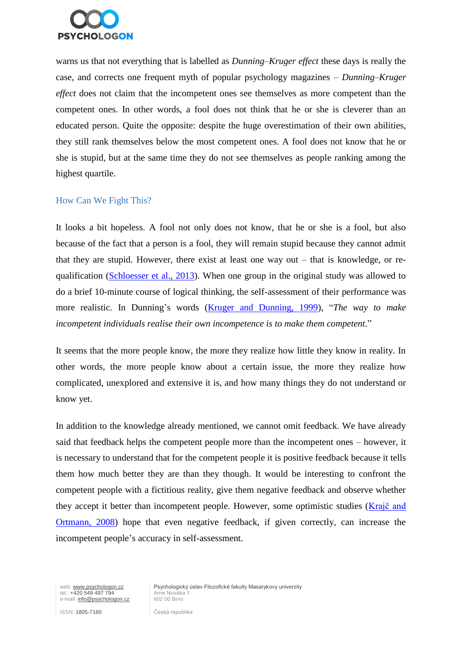

warns us that not everything that is labelled as *Dunning–Kruger effect* these days is really the case, and corrects one frequent myth of popular psychology magazines – *Dunning–Kruger effect* does not claim that the incompetent ones see themselves as more competent than the competent ones. In other words, a fool does not think that he or she is cleverer than an educated person. Quite the opposite: despite the huge overestimation of their own abilities, they still rank themselves below the most competent ones. A fool does not know that he or she is stupid, but at the same time they do not see themselves as people ranking among the highest quartile.

#### How Can We Fight This?

It looks a bit hopeless. A fool not only does not know, that he or she is a fool, but also because of the fact that a person is a fool, they will remain stupid because they cannot admit that they are stupid. However, there exist at least one way out – that is knowledge, or requalification [\(Schloesser et al., 2013\)](http://www.sciencedirect.com/science/article/pii/S0167487013000949). When one group in the original study was allowed to do a brief 10-minute course of logical thinking, the self-assessment of their performance was more realistic. In Dunning's words [\(Kruger and Dunning, 1999\)](http://citeseerx.ist.psu.edu/viewdoc/download?doi=10.1.1.64.2655&rep=rep1&type=pdf), "*The way to make incompetent individuals realise their own incompetence is to make them competent*."

It seems that the more people know, the more they realize how little they know in reality. In other words, the more people know about a certain issue, the more they realize how complicated, unexplored and extensive it is, and how many things they do not understand or know yet.

In addition to the knowledge already mentioned, we cannot omit feedback. We have already said that feedback helps the competent people more than the incompetent ones – however, it is necessary to understand that for the competent people it is positive feedback because it tells them how much better they are than they though. It would be interesting to confront the competent people with a fictitious reality, give them negative feedback and observe whether they accept it better than incompetent people. However, some optimistic studies [\(Krajč and](http://www.sciencedirect.com/science/article/pii/S0167487007001109)  [Ortmann, 2008\)](http://www.sciencedirect.com/science/article/pii/S0167487007001109) hope that even negative feedback, if given correctly, can increase the incompetent people's accuracy in self-assessment.

web: www.psychologon.cz<br>
tel.: +420 549 497 794 Arne Nováka 1<br>
e-mail: info@psychologon.cz<br>
602 00 Brno e-mail: info@psychologon.cz

Psychologický ústav Filozofické fakulty Masarykovy univerzity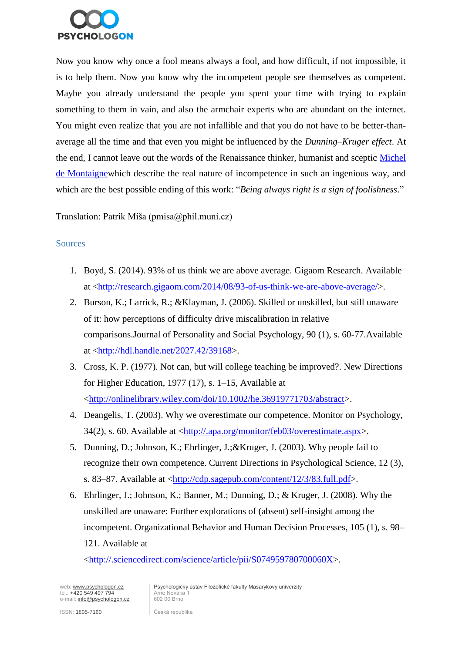

Now you know why once a fool means always a fool, and how difficult, if not impossible, it is to help them. Now you know why the incompetent people see themselves as competent. Maybe you already understand the people you spent your time with trying to explain something to them in vain, and also the armchair experts who are abundant on the internet. You might even realize that you are not infallible and that you do not have to be better-thanaverage all the time and that even you might be influenced by the *Dunning–Kruger effect*. At the end, I cannot leave out the words of the Renaissance thinker, humanist and sceptic [Michel](http://cs.wikipedia.org/wiki/Michel_de_Montaigne)  [de Montaignew](http://cs.wikipedia.org/wiki/Michel_de_Montaigne)hich describe the real nature of incompetence in such an ingenious way, and which are the best possible ending of this work: "*Being always right is a sign of foolishness*."

Translation: Patrik Míša (pmisa@phil.muni.cz)

### **Sources**

- 1. Boyd, S. (2014). 93% of us think we are above average. Gigaom Research. Available at [<http://research.gigaom.com/2014/08/93-of-us-think-we-are-above-average/>](http://research.gigaom.com/2014/08/93-of-us-think-we-are-above-average/).
- 2. Burson, K.; Larrick, R.; &Klayman, J. (2006). Skilled or unskilled, but still unaware of it: how perceptions of difficulty drive miscalibration in relative comparisons.Journal of Personality and Social Psychology, 90 (1), s. 60-77.Available at [<http://hdl.handle.net/2027.42/39168>](http://hdl.handle.net/2027.42/39168).
- 3. Cross, K. P. (1977). Not can, but will college teaching be improved?. New Directions for Higher Education, 1977 (17), s. 1–15, Available at [<http://onlinelibrary.wiley.com/doi/10.1002/he.36919771703/abstract>](http://onlinelibrary.wiley.com/doi/10.1002/he.36919771703/abstract).
- 4. Deangelis, T. (2003). Why we overestimate our competence. Monitor on Psychology, 34(2), s. 60. Available at [<http://.apa.org/monitor/feb03/overestimate.aspx>](http://.apa.org/monitor/feb03/overestimate.aspx).
- 5. Dunning, D.; Johnson, K.; Ehrlinger, J.;&Kruger, J. (2003). Why people fail to recognize their own competence. Current Directions in Psychological Science, 12 (3), s. 83–87. Available at [<http://cdp.sagepub.com/content/12/3/83.full.pdf>](http://cdp.sagepub.com/content/12/3/83.full.pdf).
- 6. Ehrlinger, J.; Johnson, K.; Banner, M.; Dunning, D.; & Kruger, J. (2008). Why the unskilled are unaware: Further explorations of (absent) self-insight among the incompetent. Organizational Behavior and Human Decision Processes, 105 (1), s. 98– 121. Available at

[<http://.sciencedirect.com/science/article/pii/S074959780700060X>](http://.sciencedirect.com/science/article/pii/S074959780700060X).

web: www.psychologon.cz<br>
tel.: +420 549 497 794 Arne Nováka 1<br>
e-mail: info@psychologon.cz<br>
602 00 Brno e-mail: info@psychologon.cz

Psychologický ústav Filozofické fakulty Masarykovy univerzity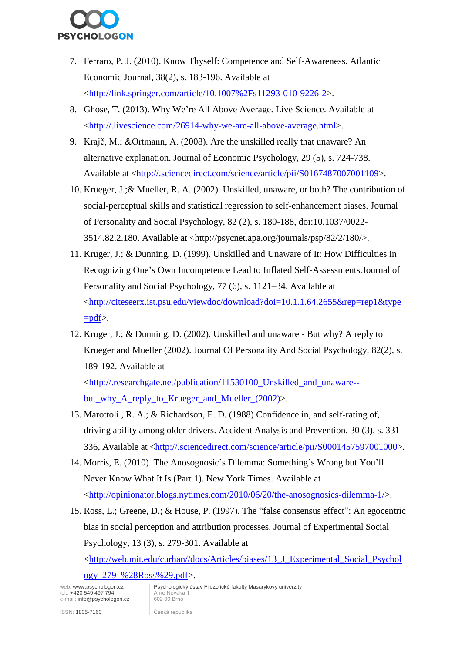

- 7. Ferraro, P. J. (2010). Know Thyself: Competence and Self-Awareness. Atlantic Economic Journal, 38(2), s. 183-196. Available at [<http://link.springer.com/article/10.1007%2Fs11293-010-9226-2>](http://link.springer.com/article/10.1007/s11293-010-9226-2).
- 8. Ghose, T. (2013). Why We're All Above Average. Live Science. Available at [<http://.livescience.com/26914-why-we-are-all-above-average.html>](http://.livescience.com/26914-why-we-are-all-above-average.html).
- 9. Krajč, M.; &Ortmann, A. (2008). Are the unskilled really that unaware? An alternative explanation. Journal of Economic Psychology, 29 (5), s. 724-738. Available at [<http://.sciencedirect.com/science/article/pii/S0167487007001109>](http://.sciencedirect.com/science/article/pii/S0167487007001109).
- 10. Krueger, J.;& Mueller, R. A. (2002). Unskilled, unaware, or both? The contribution of social-perceptual skills and statistical regression to self-enhancement biases. Journal of Personality and Social Psychology, 82 (2), s. 180-188, doi:10.1037/0022- 3514.82.2.180. Available at <http://psycnet.apa.org/journals/psp/82/2/180/>.
- 11. Kruger, J.; & Dunning, D. (1999). Unskilled and Unaware of It: How Difficulties in Recognizing One's Own Incompetence Lead to Inflated Self-Assessments.Journal of Personality and Social Psychology, 77 (6), s. 1121–34. Available at [<http://citeseerx.ist.psu.edu/viewdoc/download?doi=10.1.1.64.2655&rep=rep1&type](http://citeseerx.ist.psu.edu/viewdoc/download?doi=10.1.1.64.2655&rep=rep1&type=pdf)  $=$ pdf $>$ .
- 12. Kruger, J.; & Dunning, D. (2002). Unskilled and unaware But why? A reply to Krueger and Mueller (2002). Journal Of Personality And Social Psychology, 82(2), s. 189-192. Available at

[<http://.researchgate.net/publication/11530100\\_Unskilled\\_and\\_unaware-](http://.researchgate.net/publication/11530100_Unskilled_and_unaware--but_why_A_reply_to_Krueger_and_Mueller_%282002%29) [but\\_why\\_A\\_reply\\_to\\_Krueger\\_and\\_Mueller\\_\(2002\)>](http://.researchgate.net/publication/11530100_Unskilled_and_unaware--but_why_A_reply_to_Krueger_and_Mueller_%282002%29).

- 13. Marottoli , R. A.; & Richardson, E. D. (1988) Confidence in, and self-rating of, driving ability among older drivers. Accident Analysis and Prevention. 30 (3), s. 331– 336, Available at [<http://.sciencedirect.com/science/article/pii/S0001457597001000>](http://.sciencedirect.com/science/article/pii/S0001457597001000).
- 14. Morris, E. (2010). The Anosognosic's Dilemma: Something's Wrong but You'll Never Know What It Is (Part 1). New York Times. Available at [<http://opinionator.blogs.nytimes.com/2010/06/20/the-anosognosics-dilemma-1/>](http://opinionator.blogs.nytimes.com/2010/06/20/the-anosognosics-dilemma-1/).
- 15. Ross, L.; Greene, D.; & House, P. (1997). The "false consensus effect": An egocentric bias in social perception and attribution processes. Journal of Experimental Social Psychology, 13 (3), s. 279-301. Available at

[<http://web.mit.edu/curhan//docs/Articles/biases/13\\_J\\_Experimental\\_Social\\_Psychol](http://web.mit.edu/curhan/docs/Articles/biases/13_J_Experimental_Social_Psychology_279_(Ross).pdf)

[ogy\\_279\\_%28Ross%29.pdf>](http://web.mit.edu/curhan/docs/Articles/biases/13_J_Experimental_Social_Psychology_279_(Ross).pdf).

tel.: +420 549 497 794 Arne Nováka 1<br>e-mail: info@psychologon.cz 602 00 Brno e-mail: info@psychologon.cz

web: www.psychologon.cz <br>
Psychologický ústav Filozofické fakulty Masarykovy univerzity